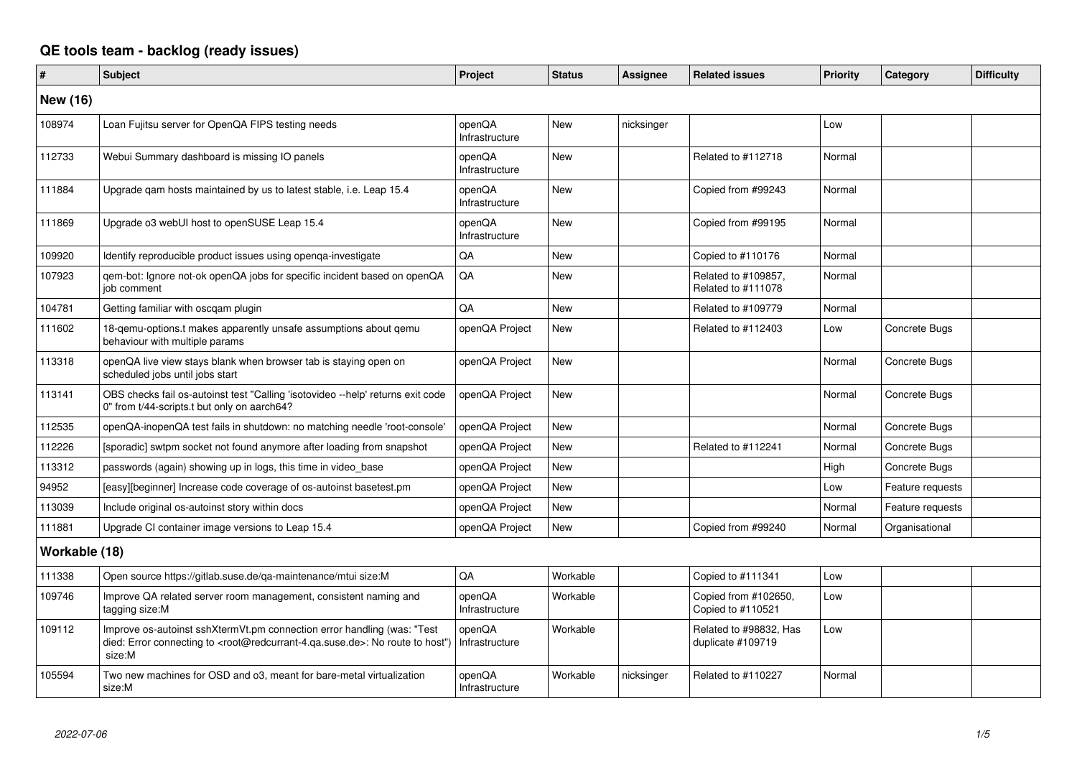## **QE tools team - backlog (ready issues)**

| #             | <b>Subject</b>                                                                                                                                                                                    | Project                  | <b>Status</b> | Assignee   | <b>Related issues</b>                       | <b>Priority</b> | Category         | <b>Difficulty</b> |
|---------------|---------------------------------------------------------------------------------------------------------------------------------------------------------------------------------------------------|--------------------------|---------------|------------|---------------------------------------------|-----------------|------------------|-------------------|
| New (16)      |                                                                                                                                                                                                   |                          |               |            |                                             |                 |                  |                   |
| 108974        | Loan Fujitsu server for OpenQA FIPS testing needs                                                                                                                                                 | openQA<br>Infrastructure | <b>New</b>    | nicksinger |                                             | Low             |                  |                   |
| 112733        | Webui Summary dashboard is missing IO panels                                                                                                                                                      | openQA<br>Infrastructure | <b>New</b>    |            | Related to #112718                          | Normal          |                  |                   |
| 111884        | Upgrade gam hosts maintained by us to latest stable, i.e. Leap 15.4                                                                                                                               | openQA<br>Infrastructure | <b>New</b>    |            | Copied from #99243                          | Normal          |                  |                   |
| 111869        | Upgrade o3 webUI host to openSUSE Leap 15.4                                                                                                                                                       | openQA<br>Infrastructure | <b>New</b>    |            | Copied from #99195                          | Normal          |                  |                   |
| 109920        | Identify reproducible product issues using openga-investigate                                                                                                                                     | QA                       | New           |            | Copied to #110176                           | Normal          |                  |                   |
| 107923        | gem-bot: Ignore not-ok openQA jobs for specific incident based on openQA<br>job comment                                                                                                           | QA                       | <b>New</b>    |            | Related to #109857,<br>Related to #111078   | Normal          |                  |                   |
| 104781        | Getting familiar with oscgam plugin                                                                                                                                                               | QA                       | New           |            | Related to #109779                          | Normal          |                  |                   |
| 111602        | 18-gemu-options.t makes apparently unsafe assumptions about gemu<br>behaviour with multiple params                                                                                                | openQA Project           | New           |            | Related to #112403                          | Low             | Concrete Bugs    |                   |
| 113318        | openQA live view stays blank when browser tab is staying open on<br>scheduled jobs until jobs start                                                                                               | openQA Project           | New           |            |                                             | Normal          | Concrete Bugs    |                   |
| 113141        | OBS checks fail os-autoinst test "Calling 'isotovideo --help' returns exit code<br>0" from t/44-scripts.t but only on aarch64?                                                                    | openQA Project           | <b>New</b>    |            |                                             | Normal          | Concrete Bugs    |                   |
| 112535        | openQA-inopenQA test fails in shutdown: no matching needle 'root-console'                                                                                                                         | openQA Project           | <b>New</b>    |            |                                             | Normal          | Concrete Bugs    |                   |
| 112226        | [sporadic] swtpm socket not found anymore after loading from snapshot                                                                                                                             | openQA Project           | <b>New</b>    |            | Related to #112241                          | Normal          | Concrete Bugs    |                   |
| 113312        | passwords (again) showing up in logs, this time in video_base                                                                                                                                     | openQA Project           | <b>New</b>    |            |                                             | High            | Concrete Bugs    |                   |
| 94952         | [easy][beginner] Increase code coverage of os-autoinst basetest.pm                                                                                                                                | openQA Project           | <b>New</b>    |            |                                             | Low             | Feature requests |                   |
| 113039        | Include original os-autoinst story within docs                                                                                                                                                    | openQA Project           | New           |            |                                             | Normal          | Feature requests |                   |
| 111881        | Upgrade CI container image versions to Leap 15.4                                                                                                                                                  | openQA Project           | <b>New</b>    |            | Copied from #99240                          | Normal          | Organisational   |                   |
| Workable (18) |                                                                                                                                                                                                   |                          |               |            |                                             |                 |                  |                   |
| 111338        | Open source https://gitlab.suse.de/qa-maintenance/mtui size:M                                                                                                                                     | QA                       | Workable      |            | Copied to #111341                           | Low             |                  |                   |
| 109746        | Improve QA related server room management, consistent naming and<br>tagging size:M                                                                                                                | openQA<br>Infrastructure | Workable      |            | Copied from #102650,<br>Copied to #110521   | Low             |                  |                   |
| 109112        | Improve os-autoinst sshXtermVt.pm connection error handling (was: "Test<br>died: Error connecting to <root@redcurrant-4.qa.suse.de>: No route to host")<br/>size:M</root@redcurrant-4.qa.suse.de> | openQA<br>Infrastructure | Workable      |            | Related to #98832, Has<br>duplicate #109719 | Low             |                  |                   |
| 105594        | Two new machines for OSD and o3, meant for bare-metal virtualization<br>size:M                                                                                                                    | openQA<br>Infrastructure | Workable      | nicksinger | Related to #110227                          | Normal          |                  |                   |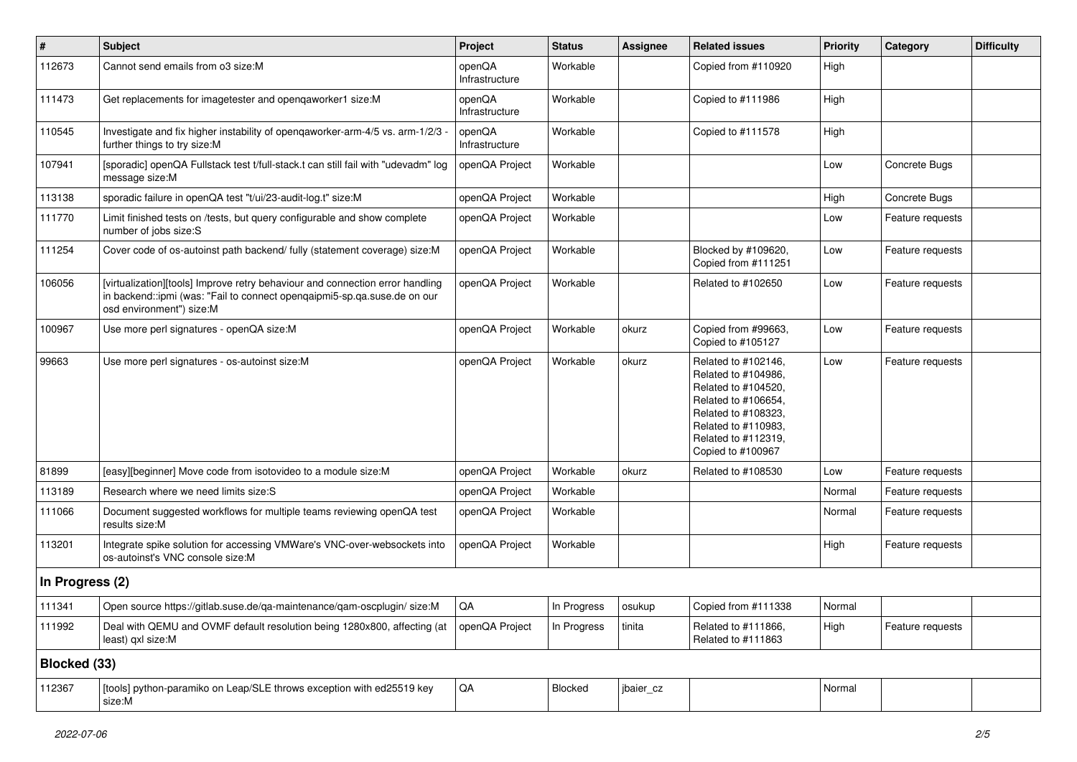| $\vert$ #       | <b>Subject</b>                                                                                                                                                                        | Project                  | <b>Status</b> | <b>Assignee</b> | <b>Related issues</b>                                                                                                                                                              | <b>Priority</b> | Category         | <b>Difficulty</b> |
|-----------------|---------------------------------------------------------------------------------------------------------------------------------------------------------------------------------------|--------------------------|---------------|-----------------|------------------------------------------------------------------------------------------------------------------------------------------------------------------------------------|-----------------|------------------|-------------------|
| 112673          | Cannot send emails from o3 size:M                                                                                                                                                     | openQA<br>Infrastructure | Workable      |                 | Copied from #110920                                                                                                                                                                | High            |                  |                   |
| 111473          | Get replacements for imagetester and openqaworker1 size:M                                                                                                                             | openQA<br>Infrastructure | Workable      |                 | Copied to #111986                                                                                                                                                                  | High            |                  |                   |
| 110545          | Investigate and fix higher instability of openqaworker-arm-4/5 vs. arm-1/2/3 -<br>further things to try size:M                                                                        | openQA<br>Infrastructure | Workable      |                 | Copied to #111578                                                                                                                                                                  | High            |                  |                   |
| 107941          | [sporadic] openQA Fullstack test t/full-stack.t can still fail with "udevadm" log<br>message size:M                                                                                   | openQA Project           | Workable      |                 |                                                                                                                                                                                    | Low             | Concrete Bugs    |                   |
| 113138          | sporadic failure in openQA test "t/ui/23-audit-log.t" size:M                                                                                                                          | openQA Project           | Workable      |                 |                                                                                                                                                                                    | High            | Concrete Bugs    |                   |
| 111770          | Limit finished tests on /tests, but query configurable and show complete<br>number of jobs size:S                                                                                     | openQA Project           | Workable      |                 |                                                                                                                                                                                    | Low             | Feature requests |                   |
| 111254          | Cover code of os-autoinst path backend/ fully (statement coverage) size:M                                                                                                             | openQA Project           | Workable      |                 | Blocked by #109620,<br>Copied from #111251                                                                                                                                         | Low             | Feature requests |                   |
| 106056          | [virtualization][tools] Improve retry behaviour and connection error handling<br>in backend::ipmi (was: "Fail to connect opengaipmi5-sp.qa.suse.de on our<br>osd environment") size:M | openQA Project           | Workable      |                 | Related to #102650                                                                                                                                                                 | Low             | Feature requests |                   |
| 100967          | Use more perl signatures - openQA size:M                                                                                                                                              | openQA Project           | Workable      | okurz           | Copied from #99663,<br>Copied to #105127                                                                                                                                           | Low             | Feature requests |                   |
| 99663           | Use more perl signatures - os-autoinst size:M                                                                                                                                         | openQA Project           | Workable      | okurz           | Related to #102146,<br>Related to #104986,<br>Related to #104520,<br>Related to #106654,<br>Related to #108323,<br>Related to #110983,<br>Related to #112319,<br>Copied to #100967 | Low             | Feature requests |                   |
| 81899           | [easy][beginner] Move code from isotovideo to a module size:M                                                                                                                         | openQA Project           | Workable      | okurz           | Related to #108530                                                                                                                                                                 | Low             | Feature requests |                   |
| 113189          | Research where we need limits size:S                                                                                                                                                  | openQA Project           | Workable      |                 |                                                                                                                                                                                    | Normal          | Feature requests |                   |
| 111066          | Document suggested workflows for multiple teams reviewing openQA test<br>results size:M                                                                                               | openQA Project           | Workable      |                 |                                                                                                                                                                                    | Normal          | Feature requests |                   |
| 113201          | Integrate spike solution for accessing VMWare's VNC-over-websockets into<br>os-autoinst's VNC console size:M                                                                          | openQA Project           | Workable      |                 |                                                                                                                                                                                    | High            | Feature requests |                   |
| In Progress (2) |                                                                                                                                                                                       |                          |               |                 |                                                                                                                                                                                    |                 |                  |                   |
| 111341          | Open source https://gitlab.suse.de/qa-maintenance/qam-oscplugin/ size:M                                                                                                               | $\mathsf{QA}$            | In Progress   | osukup          | Copied from #111338                                                                                                                                                                | Normal          |                  |                   |
| 111992          | Deal with QEMU and OVMF default resolution being 1280x800, affecting (at<br>least) gxl size:M                                                                                         | openQA Project           | In Progress   | tinita          | Related to #111866,<br>Related to #111863                                                                                                                                          | High            | Feature requests |                   |
| Blocked (33)    |                                                                                                                                                                                       |                          |               |                 |                                                                                                                                                                                    |                 |                  |                   |
| 112367          | [tools] python-paramiko on Leap/SLE throws exception with ed25519 key<br>size:M                                                                                                       | $\mathsf{QA}$            | Blocked       | jbaier_cz       |                                                                                                                                                                                    | Normal          |                  |                   |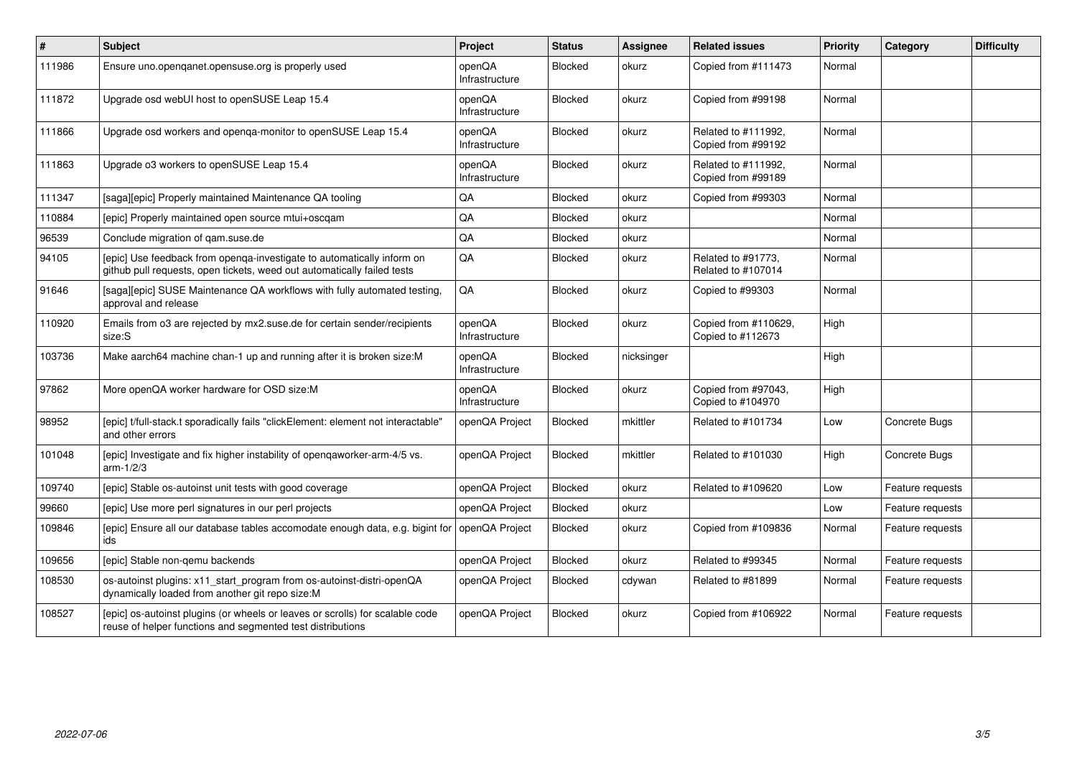| #      | <b>Subject</b>                                                                                                                                    | Project                  | <b>Status</b>  | <b>Assignee</b> | <b>Related issues</b>                     | <b>Priority</b> | Category         | <b>Difficulty</b> |
|--------|---------------------------------------------------------------------------------------------------------------------------------------------------|--------------------------|----------------|-----------------|-------------------------------------------|-----------------|------------------|-------------------|
| 111986 | Ensure uno openganet opensuse org is properly used                                                                                                | openQA<br>Infrastructure | <b>Blocked</b> | okurz           | Copied from #111473                       | Normal          |                  |                   |
| 111872 | Upgrade osd webUI host to openSUSE Leap 15.4                                                                                                      | openQA<br>Infrastructure | Blocked        | okurz           | Copied from #99198                        | Normal          |                  |                   |
| 111866 | Upgrade osd workers and openga-monitor to openSUSE Leap 15.4                                                                                      | openQA<br>Infrastructure | <b>Blocked</b> | okurz           | Related to #111992,<br>Copied from #99192 | Normal          |                  |                   |
| 111863 | Upgrade o3 workers to openSUSE Leap 15.4                                                                                                          | openQA<br>Infrastructure | Blocked        | okurz           | Related to #111992,<br>Copied from #99189 | Normal          |                  |                   |
| 111347 | [saga][epic] Properly maintained Maintenance QA tooling                                                                                           | QA                       | <b>Blocked</b> | okurz           | Copied from #99303                        | Normal          |                  |                   |
| 110884 | [epic] Properly maintained open source mtui+oscqam                                                                                                | QA                       | Blocked        | okurz           |                                           | Normal          |                  |                   |
| 96539  | Conclude migration of qam.suse.de                                                                                                                 | QA                       | Blocked        | okurz           |                                           | Normal          |                  |                   |
| 94105  | [epic] Use feedback from openga-investigate to automatically inform on<br>github pull requests, open tickets, weed out automatically failed tests | QA                       | Blocked        | okurz           | Related to #91773,<br>Related to #107014  | Normal          |                  |                   |
| 91646  | [saga][epic] SUSE Maintenance QA workflows with fully automated testing,<br>approval and release                                                  | QA                       | <b>Blocked</b> | okurz           | Copied to #99303                          | Normal          |                  |                   |
| 110920 | Emails from o3 are rejected by mx2.suse.de for certain sender/recipients<br>size:S                                                                | openQA<br>Infrastructure | Blocked        | okurz           | Copied from #110629,<br>Copied to #112673 | High            |                  |                   |
| 103736 | Make aarch64 machine chan-1 up and running after it is broken size:M                                                                              | openQA<br>Infrastructure | <b>Blocked</b> | nicksinger      |                                           | High            |                  |                   |
| 97862  | More openQA worker hardware for OSD size:M                                                                                                        | openQA<br>Infrastructure | <b>Blocked</b> | okurz           | Copied from #97043,<br>Copied to #104970  | High            |                  |                   |
| 98952  | [epic] t/full-stack.t sporadically fails "clickElement: element not interactable"<br>and other errors                                             | openQA Project           | Blocked        | mkittler        | Related to #101734                        | Low             | Concrete Bugs    |                   |
| 101048 | [epic] Investigate and fix higher instability of opengaworker-arm-4/5 vs.<br>$arm-1/2/3$                                                          | openQA Project           | Blocked        | mkittler        | Related to #101030                        | High            | Concrete Bugs    |                   |
| 109740 | [epic] Stable os-autoinst unit tests with good coverage                                                                                           | openQA Project           | Blocked        | okurz           | Related to #109620                        | Low             | Feature requests |                   |
| 99660  | [epic] Use more perl signatures in our perl projects                                                                                              | openQA Project           | Blocked        | okurz           |                                           | Low             | Feature requests |                   |
| 109846 | [epic] Ensure all our database tables accomodate enough data, e.g. bigint for<br>ids                                                              | openQA Project           | <b>Blocked</b> | okurz           | Copied from #109836                       | Normal          | Feature requests |                   |
| 109656 | [epic] Stable non-gemu backends                                                                                                                   | openQA Project           | Blocked        | okurz           | Related to #99345                         | Normal          | Feature requests |                   |
| 108530 | os-autoinst plugins: x11_start_program from os-autoinst-distri-openQA<br>dynamically loaded from another git repo size:M                          | openQA Project           | <b>Blocked</b> | cdywan          | Related to #81899                         | Normal          | Feature requests |                   |
| 108527 | [epic] os-autoinst plugins (or wheels or leaves or scrolls) for scalable code<br>reuse of helper functions and segmented test distributions       | openQA Project           | Blocked        | okurz           | Copied from #106922                       | Normal          | Feature requests |                   |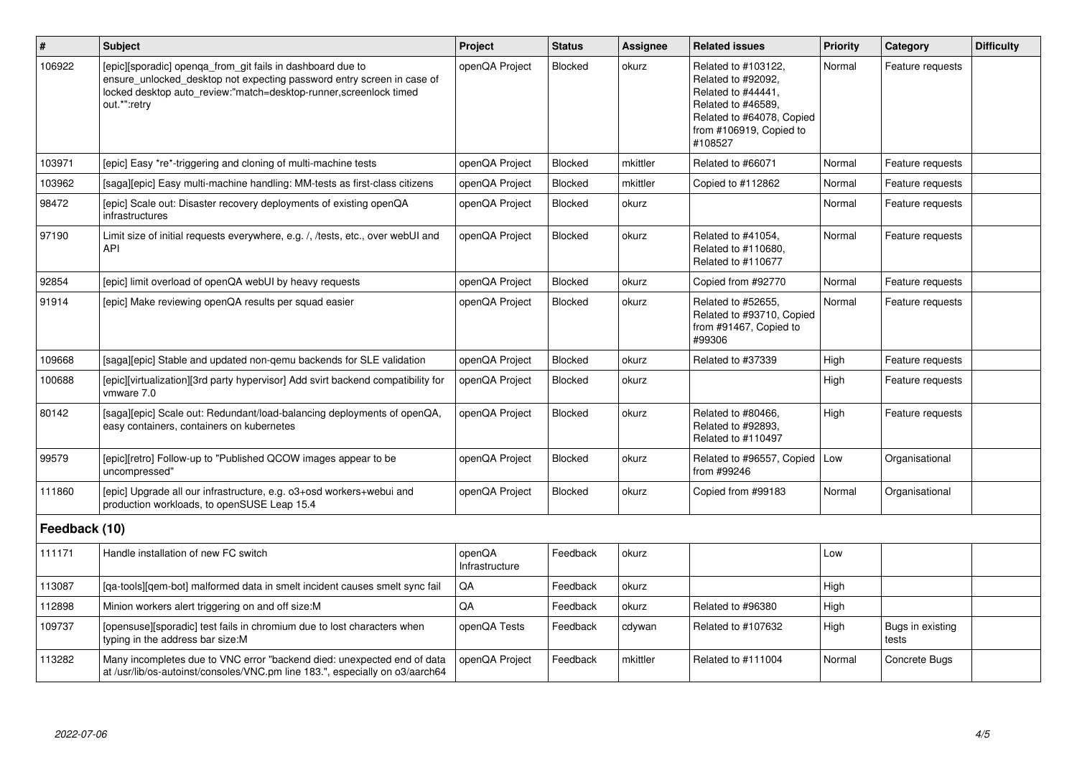| $\vert$ #     | <b>Subject</b>                                                                                                                                                                                                            | Project                  | <b>Status</b>  | <b>Assignee</b> | <b>Related issues</b>                                                                                                                                    | <b>Priority</b> | Category                  | <b>Difficulty</b> |
|---------------|---------------------------------------------------------------------------------------------------------------------------------------------------------------------------------------------------------------------------|--------------------------|----------------|-----------------|----------------------------------------------------------------------------------------------------------------------------------------------------------|-----------------|---------------------------|-------------------|
| 106922        | [epic][sporadic] openqa_from_git fails in dashboard due to<br>ensure_unlocked_desktop not expecting password entry screen in case of<br>locked desktop auto_review:"match=desktop-runner,screenlock timed<br>out.*":retry | openQA Project           | <b>Blocked</b> | okurz           | Related to #103122,<br>Related to #92092,<br>Related to #44441,<br>Related to #46589,<br>Related to #64078, Copied<br>from #106919, Copied to<br>#108527 | Normal          | Feature requests          |                   |
| 103971        | [epic] Easy *re*-triggering and cloning of multi-machine tests                                                                                                                                                            | openQA Project           | Blocked        | mkittler        | Related to #66071                                                                                                                                        | Normal          | Feature requests          |                   |
| 103962        | [saga][epic] Easy multi-machine handling: MM-tests as first-class citizens                                                                                                                                                | openQA Project           | Blocked        | mkittler        | Copied to #112862                                                                                                                                        | Normal          | Feature requests          |                   |
| 98472         | [epic] Scale out: Disaster recovery deployments of existing openQA<br>infrastructures                                                                                                                                     | openQA Project           | Blocked        | okurz           |                                                                                                                                                          | Normal          | Feature requests          |                   |
| 97190         | Limit size of initial requests everywhere, e.g. /, /tests, etc., over webUI and<br>API                                                                                                                                    | openQA Project           | Blocked        | okurz           | Related to #41054,<br>Related to #110680.<br>Related to #110677                                                                                          | Normal          | Feature requests          |                   |
| 92854         | [epic] limit overload of openQA webUI by heavy requests                                                                                                                                                                   | openQA Project           | Blocked        | okurz           | Copied from #92770                                                                                                                                       | Normal          | Feature requests          |                   |
| 91914         | [epic] Make reviewing openQA results per squad easier                                                                                                                                                                     | openQA Project           | Blocked        | okurz           | Related to #52655,<br>Related to #93710, Copied<br>from #91467, Copied to<br>#99306                                                                      | Normal          | Feature requests          |                   |
| 109668        | [saga][epic] Stable and updated non-qemu backends for SLE validation                                                                                                                                                      | openQA Project           | Blocked        | okurz           | Related to #37339                                                                                                                                        | High            | Feature requests          |                   |
| 100688        | [epic][virtualization][3rd party hypervisor] Add svirt backend compatibility for<br>vmware 7.0                                                                                                                            | openQA Project           | <b>Blocked</b> | okurz           |                                                                                                                                                          | High            | Feature requests          |                   |
| 80142         | [saga][epic] Scale out: Redundant/load-balancing deployments of openQA,<br>easy containers, containers on kubernetes                                                                                                      | openQA Project           | Blocked        | okurz           | Related to #80466,<br>Related to #92893,<br>Related to #110497                                                                                           | High            | Feature requests          |                   |
| 99579         | [epic][retro] Follow-up to "Published QCOW images appear to be<br>uncompressed"                                                                                                                                           | openQA Project           | Blocked        | okurz           | Related to #96557, Copied<br>from #99246                                                                                                                 | Low             | Organisational            |                   |
| 111860        | [epic] Upgrade all our infrastructure, e.g. o3+osd workers+webui and<br>production workloads, to openSUSE Leap 15.4                                                                                                       | openQA Project           | Blocked        | okurz           | Copied from #99183                                                                                                                                       | Normal          | Organisational            |                   |
| Feedback (10) |                                                                                                                                                                                                                           |                          |                |                 |                                                                                                                                                          |                 |                           |                   |
| 111171        | Handle installation of new FC switch                                                                                                                                                                                      | openQA<br>Infrastructure | Feedback       | okurz           |                                                                                                                                                          | Low             |                           |                   |
| 113087        | [qa-tools][qem-bot] malformed data in smelt incident causes smelt sync fail                                                                                                                                               | $\mathsf{QA}$            | Feedback       | okurz           |                                                                                                                                                          | High            |                           |                   |
| 112898        | Minion workers alert triggering on and off size:M                                                                                                                                                                         | QA                       | Feedback       | okurz           | Related to #96380                                                                                                                                        | High            |                           |                   |
| 109737        | [opensuse][sporadic] test fails in chromium due to lost characters when<br>typing in the address bar size:M                                                                                                               | openQA Tests             | Feedback       | cdywan          | Related to #107632                                                                                                                                       | High            | Bugs in existing<br>tests |                   |
| 113282        | Many incompletes due to VNC error "backend died: unexpected end of data<br>at /usr/lib/os-autoinst/consoles/VNC.pm line 183.", especially on o3/aarch64                                                                   | openQA Project           | Feedback       | mkittler        | Related to #111004                                                                                                                                       | Normal          | Concrete Bugs             |                   |